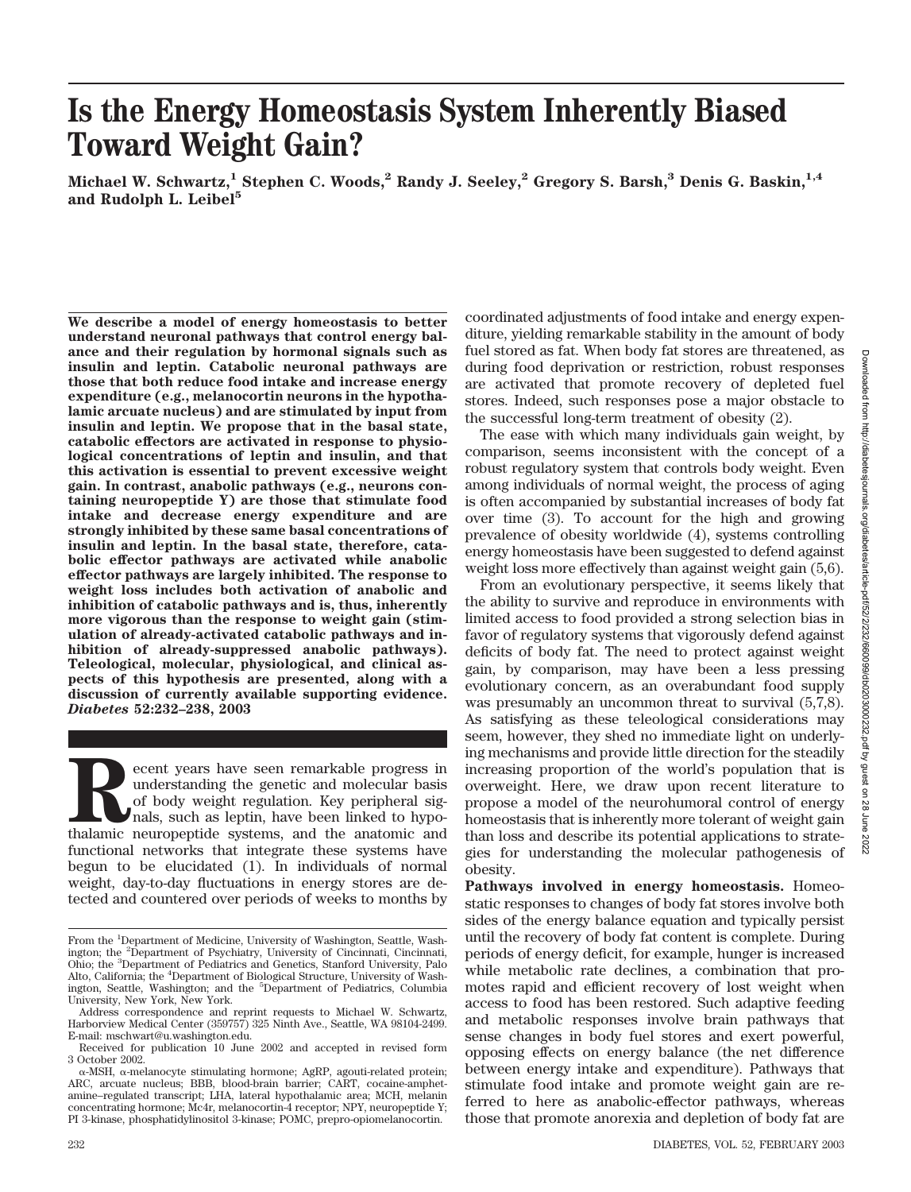## **Is the Energy Homeostasis System Inherently Biased Toward Weight Gain?**

Michael W. Schwartz,<sup>1</sup> Stephen C. Woods,<sup>2</sup> Randy J. Seeley,<sup>2</sup> Gregory S. Barsh,<sup>3</sup> Denis G. Baskin,<sup>1,4</sup> **and Rudolph L. Leibel5**

**We describe a model of energy homeostasis to better understand neuronal pathways that control energy balance and their regulation by hormonal signals such as insulin and leptin. Catabolic neuronal pathways are those that both reduce food intake and increase energy expenditure (e.g., melanocortin neurons in the hypothalamic arcuate nucleus) and are stimulated by input from insulin and leptin. We propose that in the basal state, catabolic effectors are activated in response to physiological concentrations of leptin and insulin, and that this activation is essential to prevent excessive weight gain. In contrast, anabolic pathways (e.g., neurons containing neuropeptide Y) are those that stimulate food intake and decrease energy expenditure and are strongly inhibited by these same basal concentrations of insulin and leptin. In the basal state, therefore, catabolic effector pathways are activated while anabolic effector pathways are largely inhibited. The response to weight loss includes both activation of anabolic and inhibition of catabolic pathways and is, thus, inherently more vigorous than the response to weight gain (stimulation of already-activated catabolic pathways and inhibition of already-suppressed anabolic pathways). Teleological, molecular, physiological, and clinical aspects of this hypothesis are presented, along with a discussion of currently available supporting evidence.** *Diabetes* **52:232–238, 2003**

**Recent years have seen remarkable progress in** understanding the genetic and molecular basis of body weight regulation. Key peripheral signals, such as leptin, have been linked to hypothalamic neuropeptide systems, and th understanding the genetic and molecular basis of body weight regulation. Key peripheral signals, such as leptin, have been linked to hypofunctional networks that integrate these systems have begun to be elucidated (1). In individuals of normal weight, day-to-day fluctuations in energy stores are detected and countered over periods of weeks to months by

coordinated adjustments of food intake and energy expenditure, yielding remarkable stability in the amount of body fuel stored as fat. When body fat stores are threatened, as during food deprivation or restriction, robust responses are activated that promote recovery of depleted fuel stores. Indeed, such responses pose a major obstacle to the successful long-term treatment of obesity (2).

The ease with which many individuals gain weight, by comparison, seems inconsistent with the concept of a robust regulatory system that controls body weight. Even among individuals of normal weight, the process of aging is often accompanied by substantial increases of body fat over time (3). To account for the high and growing prevalence of obesity worldwide (4), systems controlling energy homeostasis have been suggested to defend against weight loss more effectively than against weight gain (5,6).

From an evolutionary perspective, it seems likely that the ability to survive and reproduce in environments with limited access to food provided a strong selection bias in favor of regulatory systems that vigorously defend against deficits of body fat. The need to protect against weight gain, by comparison, may have been a less pressing evolutionary concern, as an overabundant food supply was presumably an uncommon threat to survival  $(5,7,8)$ . As satisfying as these teleological considerations may seem, however, they shed no immediate light on underlying mechanisms and provide little direction for the steadily increasing proportion of the world's population that is overweight. Here, we draw upon recent literature to propose a model of the neurohumoral control of energy homeostasis that is inherently more tolerant of weight gain than loss and describe its potential applications to strategies for understanding the molecular pathogenesis of obesity.

**Pathways involved in energy homeostasis.** Homeostatic responses to changes of body fat stores involve both sides of the energy balance equation and typically persist until the recovery of body fat content is complete. During periods of energy deficit, for example, hunger is increased while metabolic rate declines, a combination that promotes rapid and efficient recovery of lost weight when access to food has been restored. Such adaptive feeding and metabolic responses involve brain pathways that sense changes in body fuel stores and exert powerful, opposing effects on energy balance (the net difference between energy intake and expenditure). Pathways that stimulate food intake and promote weight gain are referred to here as anabolic-effector pathways, whereas those that promote anorexia and depletion of body fat are

From the <sup>1</sup>Department of Medicine, University of Washington, Seattle, Washington; the <sup>2</sup> Department of Psychiatry, University of Cincinnati, Cincinnati, Ohio; the <sup>3</sup> Department of Pediatrics and Genetics, Stanford University, Palo Alto, California; the <sup>4</sup> Department of Biological Structure, University of Washington, Seattle, Washington; and the <sup>5</sup> Department of Pediatrics, Columbia University, New York, New York.

Address correspondence and reprint requests to Michael W. Schwartz, Harborview Medical Center (359757) 325 Ninth Ave., Seattle, WA 98104-2499. E-mail: mschwart@u.washington.edu.

Received for publication 10 June 2002 and accepted in revised form 3 October 2002.

 $\alpha$ -MSH,  $\alpha$ -melanocyte stimulating hormone; AgRP, agouti-related protein; ARC, arcuate nucleus; BBB, blood-brain barrier; CART, cocaine-amphetamine–regulated transcript; LHA, lateral hypothalamic area; MCH, melanin concentrating hormone; Mc4r, melanocortin-4 receptor; NPY, neuropeptide Y; PI 3-kinase, phosphatidylinositol 3-kinase; POMC, prepro-opiomelanocortin.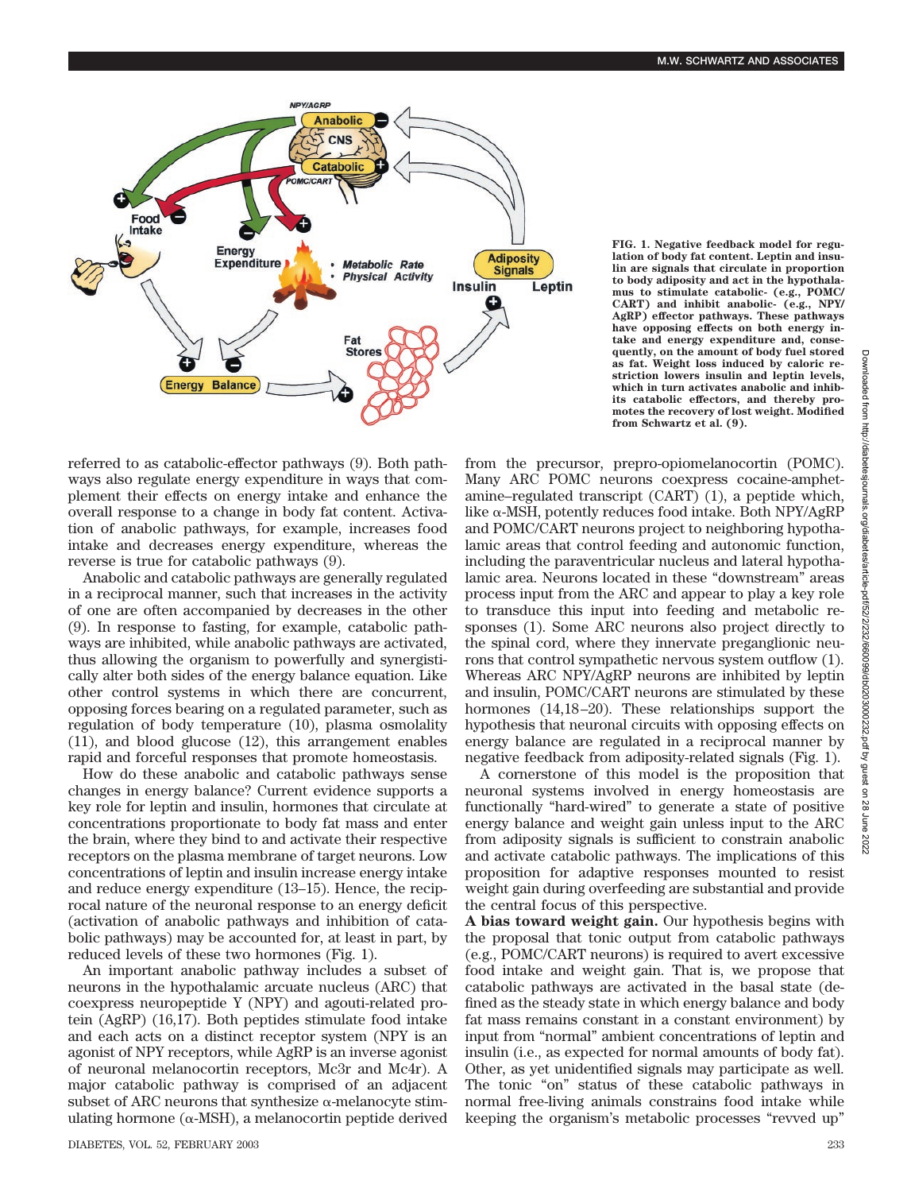

**FIG. 1. Negative feedback model for regulation of body fat content. Leptin and insulin are signals that circulate in proportion to body adiposity and act in the hypothalamus to stimulate catabolic- (e.g., POMC/ CART) and inhibit anabolic- (e.g., NPY/ AgRP) effector pathways. These pathways have opposing effects on both energy intake and energy expenditure and, consequently, on the amount of body fuel stored as fat. Weight loss induced by caloric restriction lowers insulin and leptin levels, which in turn activates anabolic and inhibits catabolic effectors, and thereby promotes the recovery of lost weight. Modified from Schwartz et al. (9).**

referred to as catabolic-effector pathways (9). Both pathways also regulate energy expenditure in ways that complement their effects on energy intake and enhance the overall response to a change in body fat content. Activation of anabolic pathways, for example, increases food intake and decreases energy expenditure, whereas the reverse is true for catabolic pathways (9).

Anabolic and catabolic pathways are generally regulated in a reciprocal manner, such that increases in the activity of one are often accompanied by decreases in the other (9). In response to fasting, for example, catabolic pathways are inhibited, while anabolic pathways are activated, thus allowing the organism to powerfully and synergistically alter both sides of the energy balance equation. Like other control systems in which there are concurrent, opposing forces bearing on a regulated parameter, such as regulation of body temperature (10), plasma osmolality (11), and blood glucose (12), this arrangement enables rapid and forceful responses that promote homeostasis.

How do these anabolic and catabolic pathways sense changes in energy balance? Current evidence supports a key role for leptin and insulin, hormones that circulate at concentrations proportionate to body fat mass and enter the brain, where they bind to and activate their respective receptors on the plasma membrane of target neurons. Low concentrations of leptin and insulin increase energy intake and reduce energy expenditure (13–15). Hence, the reciprocal nature of the neuronal response to an energy deficit (activation of anabolic pathways and inhibition of catabolic pathways) may be accounted for, at least in part, by reduced levels of these two hormones (Fig. 1).

An important anabolic pathway includes a subset of neurons in the hypothalamic arcuate nucleus (ARC) that coexpress neuropeptide Y (NPY) and agouti-related protein (AgRP) (16,17). Both peptides stimulate food intake and each acts on a distinct receptor system (NPY is an agonist of NPY receptors, while AgRP is an inverse agonist of neuronal melanocortin receptors, Mc3r and Mc4r). A major catabolic pathway is comprised of an adjacent subset of ARC neurons that synthesize  $\alpha$ -melanocyte stimulating hormone ( $\alpha$ -MSH), a melanocortin peptide derived

amine–regulated transcript (CART) (1), a peptide which, like  $\alpha$ -MSH, potently reduces food intake. Both NPY/AgRP and POMC/CART neurons project to neighboring hypothalamic areas that control feeding and autonomic function, including the paraventricular nucleus and lateral hypothalamic area. Neurons located in these "downstream" areas process input from the ARC and appear to play a key role to transduce this input into feeding and metabolic responses (1). Some ARC neurons also project directly to the spinal cord, where they innervate preganglionic neurons that control sympathetic nervous system outflow (1). Whereas ARC NPY/AgRP neurons are inhibited by leptin and insulin, POMC/CART neurons are stimulated by these hormones (14,18–20). These relationships support the hypothesis that neuronal circuits with opposing effects on energy balance are regulated in a reciprocal manner by negative feedback from adiposity-related signals (Fig. 1). A cornerstone of this model is the proposition that

from the precursor, prepro-opiomelanocortin (POMC). Many ARC POMC neurons coexpress cocaine-amphet-

neuronal systems involved in energy homeostasis are functionally "hard-wired" to generate a state of positive energy balance and weight gain unless input to the ARC from adiposity signals is sufficient to constrain anabolic and activate catabolic pathways. The implications of this proposition for adaptive responses mounted to resist weight gain during overfeeding are substantial and provide the central focus of this perspective.

**A bias toward weight gain.** Our hypothesis begins with the proposal that tonic output from catabolic pathways (e.g., POMC/CART neurons) is required to avert excessive food intake and weight gain. That is, we propose that catabolic pathways are activated in the basal state (defined as the steady state in which energy balance and body fat mass remains constant in a constant environment) by input from "normal" ambient concentrations of leptin and insulin (i.e., as expected for normal amounts of body fat). Other, as yet unidentified signals may participate as well. The tonic "on" status of these catabolic pathways in normal free-living animals constrains food intake while keeping the organism's metabolic processes "revved up"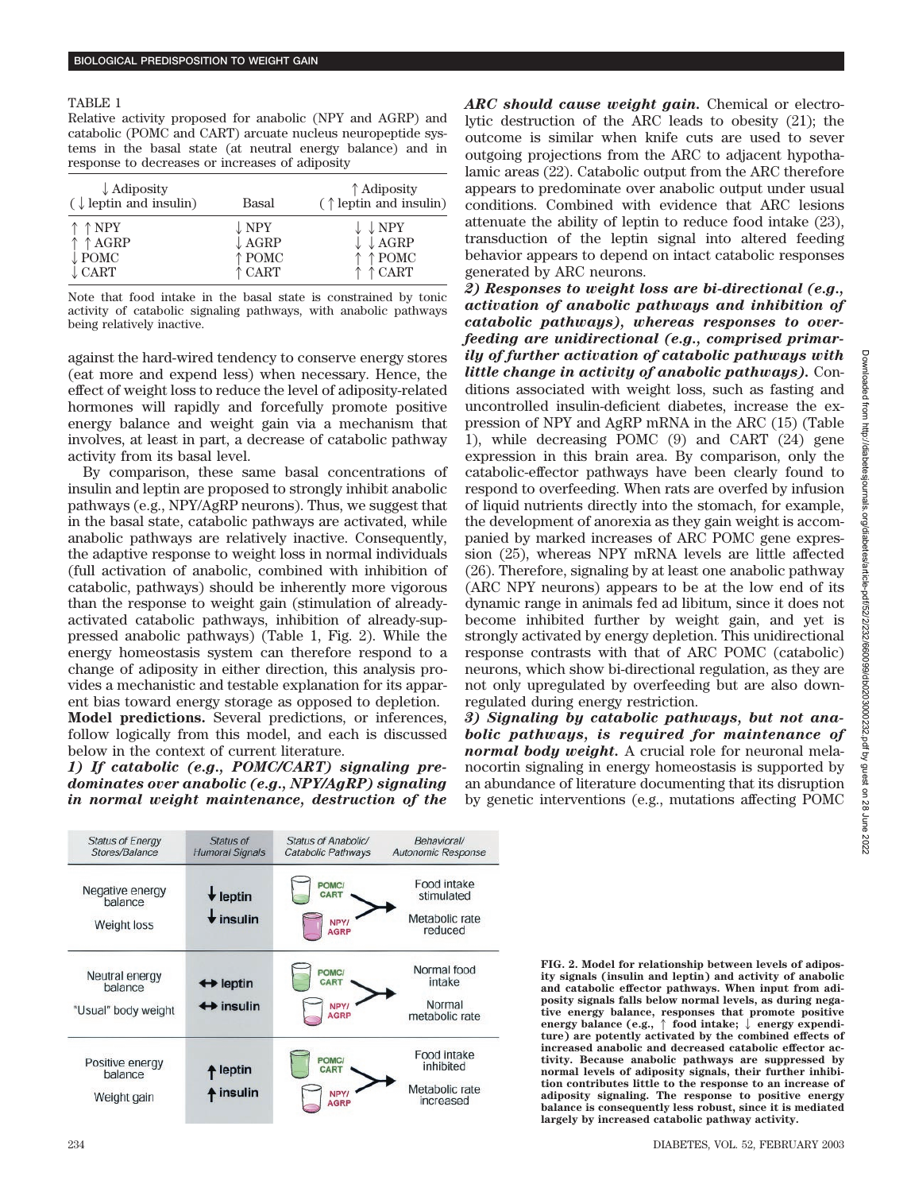## TABLE 1

Relative activity proposed for anabolic (NPY and AGRP) and catabolic (POMC and CART) arcuate nucleus neuropeptide systems in the basal state (at neutral energy balance) and in response to decreases or increases of adiposity

| $\downarrow$ Adiposity<br>$(\downarrow$ leptin and insulin) | Basal             | ↑ Adiposity<br>$($ $\uparrow$ leptin and insulin) |
|-------------------------------------------------------------|-------------------|---------------------------------------------------|
| $\uparrow \uparrow NPY$                                     | $\downarrow$ NPY  | $\downarrow \downarrow$ NPY                       |
| $\uparrow$ $\uparrow$ AGRP                                  | $\downarrow$ AGRP | $\downarrow$ $\downarrow$ AGRP                    |
| $\downarrow$ POMC                                           | $\uparrow$ POMC   | $\uparrow \uparrow$ POMC                          |
| $\downarrow$ CART                                           | $\uparrow$ CART   | $\uparrow$ $\uparrow$ CART                        |

Note that food intake in the basal state is constrained by tonic activity of catabolic signaling pathways, with anabolic pathways being relatively inactive.

against the hard-wired tendency to conserve energy stores (eat more and expend less) when necessary. Hence, the effect of weight loss to reduce the level of adiposity-related hormones will rapidly and forcefully promote positive energy balance and weight gain via a mechanism that involves, at least in part, a decrease of catabolic pathway activity from its basal level.

By comparison, these same basal concentrations of insulin and leptin are proposed to strongly inhibit anabolic pathways (e.g., NPY/AgRP neurons). Thus, we suggest that in the basal state, catabolic pathways are activated, while anabolic pathways are relatively inactive. Consequently, the adaptive response to weight loss in normal individuals (full activation of anabolic, combined with inhibition of catabolic, pathways) should be inherently more vigorous than the response to weight gain (stimulation of alreadyactivated catabolic pathways, inhibition of already-suppressed anabolic pathways) (Table 1, Fig. 2). While the energy homeostasis system can therefore respond to a change of adiposity in either direction, this analysis provides a mechanistic and testable explanation for its apparent bias toward energy storage as opposed to depletion.

**Model predictions.** Several predictions, or inferences, follow logically from this model, and each is discussed below in the context of current literature.

*1) If catabolic (e.g., POMC/CART) signaling predominates over anabolic (e.g., NPY/AgRP) signaling in normal weight maintenance, destruction of the* *ARC should cause weight gain.* Chemical or electrolytic destruction of the ARC leads to obesity (21); the outcome is similar when knife cuts are used to sever outgoing projections from the ARC to adjacent hypothalamic areas (22). Catabolic output from the ARC therefore appears to predominate over anabolic output under usual conditions. Combined with evidence that ARC lesions attenuate the ability of leptin to reduce food intake (23), transduction of the leptin signal into altered feeding behavior appears to depend on intact catabolic responses generated by ARC neurons.

*2) Responses to weight loss are bi-directional (e.g., activation of anabolic pathways and inhibition of catabolic pathways), whereas responses to overfeeding are unidirectional (e.g., comprised primarily of further activation of catabolic pathways with little change in activity of anabolic pathways).* Conditions associated with weight loss, such as fasting and uncontrolled insulin-deficient diabetes, increase the expression of NPY and AgRP mRNA in the ARC (15) (Table 1), while decreasing POMC (9) and CART (24) gene expression in this brain area. By comparison, only the catabolic-effector pathways have been clearly found to respond to overfeeding. When rats are overfed by infusion of liquid nutrients directly into the stomach, for example, the development of anorexia as they gain weight is accompanied by marked increases of ARC POMC gene expression (25), whereas NPY mRNA levels are little affected (26). Therefore, signaling by at least one anabolic pathway (ARC NPY neurons) appears to be at the low end of its dynamic range in animals fed ad libitum, since it does not become inhibited further by weight gain, and yet is strongly activated by energy depletion. This unidirectional response contrasts with that of ARC POMC (catabolic) neurons, which show bi-directional regulation, as they are not only upregulated by overfeeding but are also downregulated during energy restriction.

*3) Signaling by catabolic pathways, but not anabolic pathways, is required for maintenance of normal body weight.* A crucial role for neuronal melanocortin signaling in energy homeostasis is supported by an abundance of literature documenting that its disruption by genetic interventions (e.g., mutations affecting POMC



**FIG. 2. Model for relationship between levels of adiposity signals (insulin and leptin) and activity of anabolic and catabolic effector pathways. When input from adiposity signals falls below normal levels, as during negative energy balance, responses that promote positive energy balance (e.g.,** 1 **food intake;** 2 **energy expendi-ture) are potently activated by the combined effects of increased anabolic and decreased catabolic effector activity. Because anabolic pathways are suppressed by normal levels of adiposity signals, their further inhibition contributes little to the response to an increase of adiposity signaling. The response to positive energy balance is consequently less robust, since it is mediated largely by increased catabolic pathway activity.**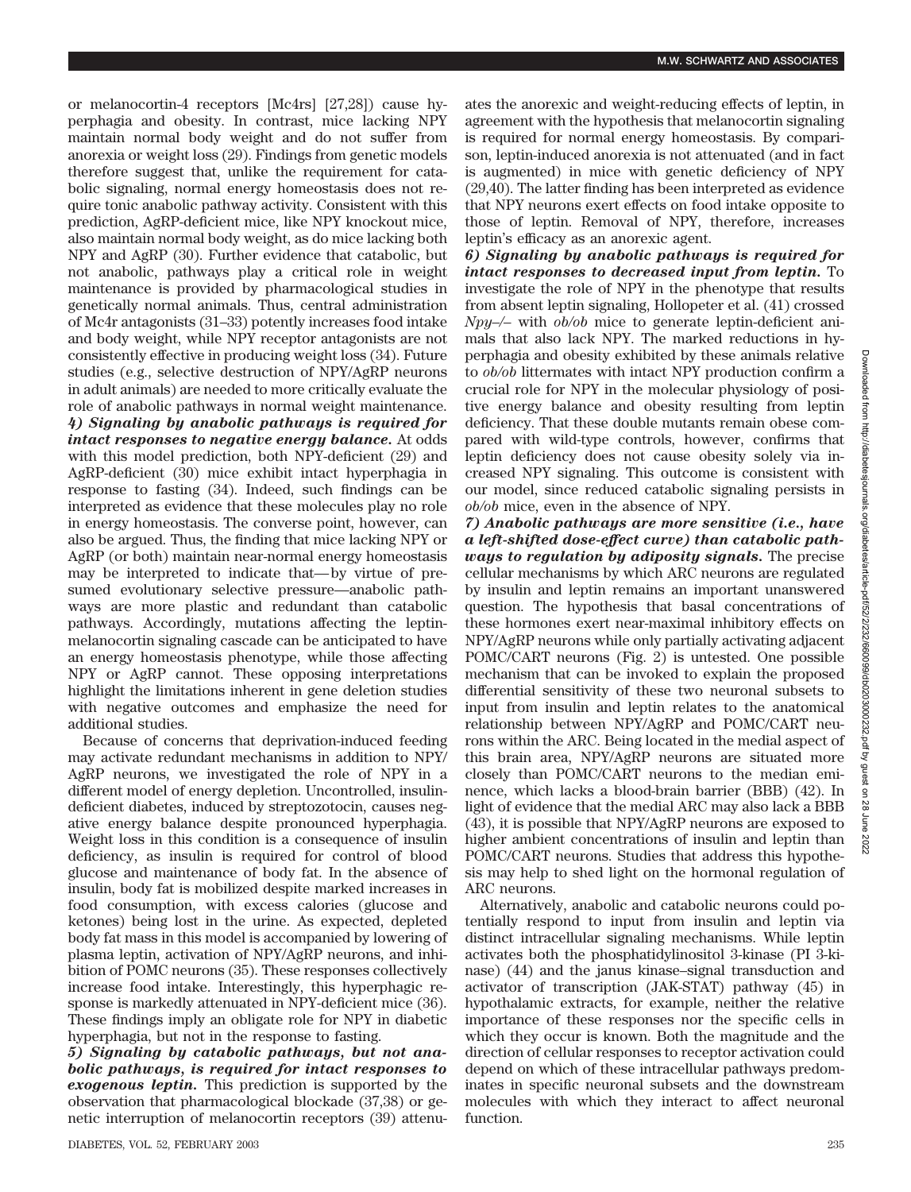or melanocortin-4 receptors [Mc4rs] [27,28]) cause hyperphagia and obesity. In contrast, mice lacking NPY maintain normal body weight and do not suffer from anorexia or weight loss (29). Findings from genetic models therefore suggest that, unlike the requirement for catabolic signaling, normal energy homeostasis does not require tonic anabolic pathway activity. Consistent with this prediction, AgRP-deficient mice, like NPY knockout mice, also maintain normal body weight, as do mice lacking both NPY and AgRP (30). Further evidence that catabolic, but not anabolic, pathways play a critical role in weight maintenance is provided by pharmacological studies in genetically normal animals. Thus, central administration of Mc4r antagonists (31–33) potently increases food intake and body weight, while NPY receptor antagonists are not consistently effective in producing weight loss (34). Future studies (e.g., selective destruction of NPY/AgRP neurons in adult animals) are needed to more critically evaluate the role of anabolic pathways in normal weight maintenance. *4) Signaling by anabolic pathways is required for intact responses to negative energy balance.* At odds with this model prediction, both NPY-deficient (29) and AgRP-deficient (30) mice exhibit intact hyperphagia in response to fasting (34). Indeed, such findings can be interpreted as evidence that these molecules play no role in energy homeostasis. The converse point, however, can also be argued. Thus, the finding that mice lacking NPY or

AgRP (or both) maintain near-normal energy homeostasis may be interpreted to indicate that—by virtue of presumed evolutionary selective pressure—anabolic pathways are more plastic and redundant than catabolic pathways. Accordingly, mutations affecting the leptinmelanocortin signaling cascade can be anticipated to have an energy homeostasis phenotype, while those affecting NPY or AgRP cannot. These opposing interpretations highlight the limitations inherent in gene deletion studies with negative outcomes and emphasize the need for additional studies.

Because of concerns that deprivation-induced feeding may activate redundant mechanisms in addition to NPY/ AgRP neurons, we investigated the role of NPY in a different model of energy depletion. Uncontrolled, insulindeficient diabetes, induced by streptozotocin, causes negative energy balance despite pronounced hyperphagia. Weight loss in this condition is a consequence of insulin deficiency, as insulin is required for control of blood glucose and maintenance of body fat. In the absence of insulin, body fat is mobilized despite marked increases in food consumption, with excess calories (glucose and ketones) being lost in the urine. As expected, depleted body fat mass in this model is accompanied by lowering of plasma leptin, activation of NPY/AgRP neurons, and inhibition of POMC neurons (35). These responses collectively increase food intake. Interestingly, this hyperphagic response is markedly attenuated in NPY-deficient mice (36). These findings imply an obligate role for NPY in diabetic hyperphagia, but not in the response to fasting.

*5) Signaling by catabolic pathways, but not anabolic pathways, is required for intact responses to exogenous leptin.* This prediction is supported by the observation that pharmacological blockade (37,38) or genetic interruption of melanocortin receptors (39) attenuates the anorexic and weight-reducing effects of leptin, in agreement with the hypothesis that melanocortin signaling is required for normal energy homeostasis. By comparison, leptin-induced anorexia is not attenuated (and in fact is augmented) in mice with genetic deficiency of NPY (29,40). The latter finding has been interpreted as evidence that NPY neurons exert effects on food intake opposite to those of leptin. Removal of NPY, therefore, increases leptin's efficacy as an anorexic agent.

*6) Signaling by anabolic pathways is required for intact responses to decreased input from leptin.* To investigate the role of NPY in the phenotype that results from absent leptin signaling, Hollopeter et al. (41) crossed *Npy–/–* with *ob/ob* mice to generate leptin-deficient animals that also lack NPY. The marked reductions in hyperphagia and obesity exhibited by these animals relative to *ob/ob* littermates with intact NPY production confirm a crucial role for NPY in the molecular physiology of positive energy balance and obesity resulting from leptin deficiency. That these double mutants remain obese compared with wild-type controls, however, confirms that leptin deficiency does not cause obesity solely via increased NPY signaling. This outcome is consistent with our model, since reduced catabolic signaling persists in *ob/ob* mice, even in the absence of NPY.

*7) Anabolic pathways are more sensitive (i.e., have a left-shifted dose-effect curve) than catabolic pathways to regulation by adiposity signals.* The precise cellular mechanisms by which ARC neurons are regulated by insulin and leptin remains an important unanswered question. The hypothesis that basal concentrations of these hormones exert near-maximal inhibitory effects on NPY/AgRP neurons while only partially activating adjacent POMC/CART neurons (Fig. 2) is untested. One possible mechanism that can be invoked to explain the proposed differential sensitivity of these two neuronal subsets to input from insulin and leptin relates to the anatomical relationship between NPY/AgRP and POMC/CART neurons within the ARC. Being located in the medial aspect of this brain area, NPY/AgRP neurons are situated more closely than POMC/CART neurons to the median eminence, which lacks a blood-brain barrier (BBB) (42). In light of evidence that the medial ARC may also lack a BBB (43), it is possible that NPY/AgRP neurons are exposed to higher ambient concentrations of insulin and leptin than POMC/CART neurons. Studies that address this hypothesis may help to shed light on the hormonal regulation of ARC neurons.

Alternatively, anabolic and catabolic neurons could potentially respond to input from insulin and leptin via distinct intracellular signaling mechanisms. While leptin activates both the phosphatidylinositol 3-kinase (PI 3-kinase) (44) and the janus kinase–signal transduction and activator of transcription (JAK-STAT) pathway (45) in hypothalamic extracts, for example, neither the relative importance of these responses nor the specific cells in which they occur is known. Both the magnitude and the direction of cellular responses to receptor activation could depend on which of these intracellular pathways predominates in specific neuronal subsets and the downstream molecules with which they interact to affect neuronal function.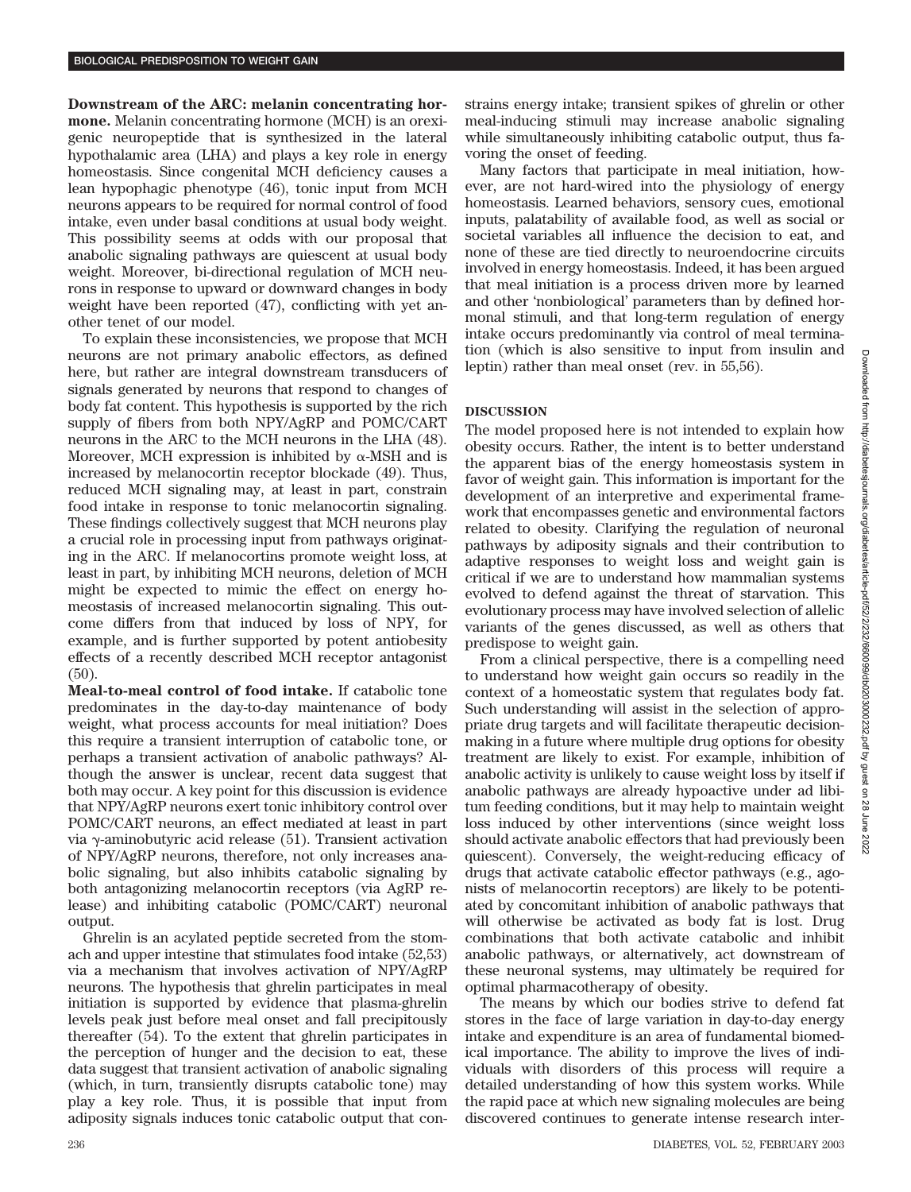**Downstream of the ARC: melanin concentrating hormone.** Melanin concentrating hormone (MCH) is an orexigenic neuropeptide that is synthesized in the lateral hypothalamic area (LHA) and plays a key role in energy homeostasis. Since congenital MCH deficiency causes a lean hypophagic phenotype (46), tonic input from MCH neurons appears to be required for normal control of food intake, even under basal conditions at usual body weight. This possibility seems at odds with our proposal that anabolic signaling pathways are quiescent at usual body weight. Moreover, bi-directional regulation of MCH neurons in response to upward or downward changes in body weight have been reported (47), conflicting with yet another tenet of our model.

To explain these inconsistencies, we propose that MCH neurons are not primary anabolic effectors, as defined here, but rather are integral downstream transducers of signals generated by neurons that respond to changes of body fat content. This hypothesis is supported by the rich supply of fibers from both NPY/AgRP and POMC/CART neurons in the ARC to the MCH neurons in the LHA (48). Moreover, MCH expression is inhibited by  $\alpha$ -MSH and is increased by melanocortin receptor blockade (49). Thus, reduced MCH signaling may, at least in part, constrain food intake in response to tonic melanocortin signaling. These findings collectively suggest that MCH neurons play a crucial role in processing input from pathways originating in the ARC. If melanocortins promote weight loss, at least in part, by inhibiting MCH neurons, deletion of MCH might be expected to mimic the effect on energy homeostasis of increased melanocortin signaling. This outcome differs from that induced by loss of NPY, for example, and is further supported by potent antiobesity effects of a recently described MCH receptor antagonist (50).

**Meal-to-meal control of food intake.** If catabolic tone predominates in the day-to-day maintenance of body weight, what process accounts for meal initiation? Does this require a transient interruption of catabolic tone, or perhaps a transient activation of anabolic pathways? Although the answer is unclear, recent data suggest that both may occur. A key point for this discussion is evidence that NPY/AgRP neurons exert tonic inhibitory control over POMC/CART neurons, an effect mediated at least in part via  $\gamma$ -aminobutyric acid release (51). Transient activation of NPY/AgRP neurons, therefore, not only increases anabolic signaling, but also inhibits catabolic signaling by both antagonizing melanocortin receptors (via AgRP release) and inhibiting catabolic (POMC/CART) neuronal output.

Ghrelin is an acylated peptide secreted from the stomach and upper intestine that stimulates food intake (52,53) via a mechanism that involves activation of NPY/AgRP neurons. The hypothesis that ghrelin participates in meal initiation is supported by evidence that plasma-ghrelin levels peak just before meal onset and fall precipitously thereafter (54). To the extent that ghrelin participates in the perception of hunger and the decision to eat, these data suggest that transient activation of anabolic signaling (which, in turn, transiently disrupts catabolic tone) may play a key role. Thus, it is possible that input from adiposity signals induces tonic catabolic output that constrains energy intake; transient spikes of ghrelin or other meal-inducing stimuli may increase anabolic signaling while simultaneously inhibiting catabolic output, thus favoring the onset of feeding.

Many factors that participate in meal initiation, however, are not hard-wired into the physiology of energy homeostasis. Learned behaviors, sensory cues, emotional inputs, palatability of available food, as well as social or societal variables all influence the decision to eat, and none of these are tied directly to neuroendocrine circuits involved in energy homeostasis. Indeed, it has been argued that meal initiation is a process driven more by learned and other 'nonbiological' parameters than by defined hormonal stimuli, and that long-term regulation of energy intake occurs predominantly via control of meal termination (which is also sensitive to input from insulin and leptin) rather than meal onset (rev. in 55,56).

## **DISCUSSION**

The model proposed here is not intended to explain how obesity occurs. Rather, the intent is to better understand the apparent bias of the energy homeostasis system in favor of weight gain. This information is important for the development of an interpretive and experimental framework that encompasses genetic and environmental factors related to obesity. Clarifying the regulation of neuronal pathways by adiposity signals and their contribution to adaptive responses to weight loss and weight gain is critical if we are to understand how mammalian systems evolved to defend against the threat of starvation. This evolutionary process may have involved selection of allelic variants of the genes discussed, as well as others that predispose to weight gain.

From a clinical perspective, there is a compelling need to understand how weight gain occurs so readily in the context of a homeostatic system that regulates body fat. Such understanding will assist in the selection of appropriate drug targets and will facilitate therapeutic decisionmaking in a future where multiple drug options for obesity treatment are likely to exist. For example, inhibition of anabolic activity is unlikely to cause weight loss by itself if anabolic pathways are already hypoactive under ad libitum feeding conditions, but it may help to maintain weight loss induced by other interventions (since weight loss should activate anabolic effectors that had previously been quiescent). Conversely, the weight-reducing efficacy of drugs that activate catabolic effector pathways (e.g., agonists of melanocortin receptors) are likely to be potentiated by concomitant inhibition of anabolic pathways that will otherwise be activated as body fat is lost. Drug combinations that both activate catabolic and inhibit anabolic pathways, or alternatively, act downstream of these neuronal systems, may ultimately be required for optimal pharmacotherapy of obesity.

The means by which our bodies strive to defend fat stores in the face of large variation in day-to-day energy intake and expenditure is an area of fundamental biomedical importance. The ability to improve the lives of individuals with disorders of this process will require a detailed understanding of how this system works. While the rapid pace at which new signaling molecules are being discovered continues to generate intense research inter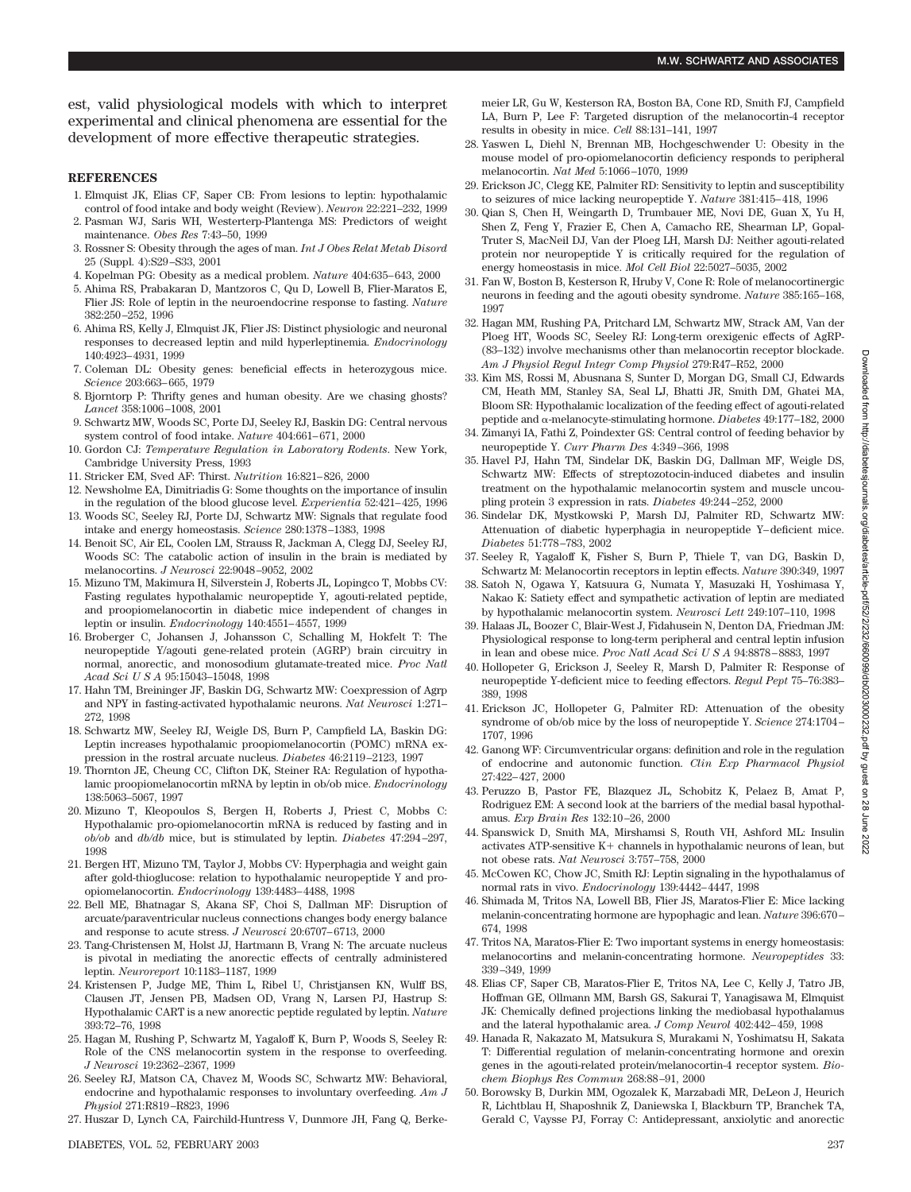est, valid physiological models with which to interpret experimental and clinical phenomena are essential for the development of more effective therapeutic strategies.

## **REFERENCES**

- 1. Elmquist JK, Elias CF, Saper CB: From lesions to leptin: hypothalamic control of food intake and body weight (Review). *Neuron* 22:221–232, 1999
- 2. Pasman WJ, Saris WH, Westerterp-Plantenga MS: Predictors of weight maintenance. *Obes Res* 7:43–50, 1999
- 3. Rossner S: Obesity through the ages of man. *Int J Obes Relat Metab Disord* 25 (Suppl. 4):S29–S33, 2001
- 4. Kopelman PG: Obesity as a medical problem. *Nature* 404:635–643, 2000
- 5. Ahima RS, Prabakaran D, Mantzoros C, Qu D, Lowell B, Flier-Maratos E, Flier JS: Role of leptin in the neuroendocrine response to fasting. *Nature* 382:250–252, 1996
- 6. Ahima RS, Kelly J, Elmquist JK, Flier JS: Distinct physiologic and neuronal responses to decreased leptin and mild hyperleptinemia. *Endocrinology* 140:4923–4931, 1999
- 7. Coleman DL: Obesity genes: beneficial effects in heterozygous mice. *Science* 203:663–665, 1979
- 8. Bjorntorp P: Thrifty genes and human obesity. Are we chasing ghosts? *Lancet* 358:1006–1008, 2001
- 9. Schwartz MW, Woods SC, Porte DJ, Seeley RJ, Baskin DG: Central nervous system control of food intake. *Nature* 404:661–671, 2000
- 10. Gordon CJ: *Temperature Regulation in Laboratory Rodents*. New York, Cambridge University Press, 1993
- 11. Stricker EM, Sved AF: Thirst. *Nutrition* 16:821–826, 2000
- 12. Newsholme EA, Dimitriadis G: Some thoughts on the importance of insulin
- in the regulation of the blood glucose level. *Experientia* 52:421–425, 1996 13. Woods SC, Seeley RJ, Porte DJ, Schwartz MW: Signals that regulate food intake and energy homeostasis. *Science* 280:1378–1383, 1998
- 14. Benoit SC, Air EL, Coolen LM, Strauss R, Jackman A, Clegg DJ, Seeley RJ, Woods SC: The catabolic action of insulin in the brain is mediated by melanocortins. *J Neurosci* 22:9048–9052, 2002
- 15. Mizuno TM, Makimura H, Silverstein J, Roberts JL, Lopingco T, Mobbs CV: Fasting regulates hypothalamic neuropeptide Y, agouti-related peptide, and proopiomelanocortin in diabetic mice independent of changes in leptin or insulin. *Endocrinology* 140:4551–4557, 1999
- 16. Broberger C, Johansen J, Johansson C, Schalling M, Hokfelt T: The neuropeptide Y/agouti gene-related protein (AGRP) brain circuitry in normal, anorectic, and monosodium glutamate-treated mice. *Proc Natl Acad SciUSA* 95:15043–15048, 1998
- 17. Hahn TM, Breininger JF, Baskin DG, Schwartz MW: Coexpression of Agrp and NPY in fasting-activated hypothalamic neurons. *Nat Neurosci* 1:271– 272, 1998
- 18. Schwartz MW, Seeley RJ, Weigle DS, Burn P, Campfield LA, Baskin DG: Leptin increases hypothalamic proopiomelanocortin (POMC) mRNA expression in the rostral arcuate nucleus. *Diabetes* 46:2119–2123, 1997
- 19. Thornton JE, Cheung CC, Clifton DK, Steiner RA: Regulation of hypothalamic proopiomelanocortin mRNA by leptin in ob/ob mice. *Endocrinology* 138:5063–5067, 1997
- 20. Mizuno T, Kleopoulos S, Bergen H, Roberts J, Priest C, Mobbs C: Hypothalamic pro-opiomelanocortin mRNA is reduced by fasting and in *ob/ob* and *db/db* mice, but is stimulated by leptin. *Diabetes* 47:294–297, 1998
- 21. Bergen HT, Mizuno TM, Taylor J, Mobbs CV: Hyperphagia and weight gain after gold-thioglucose: relation to hypothalamic neuropeptide Y and proopiomelanocortin. *Endocrinology* 139:4483–4488, 1998
- 22. Bell ME, Bhatnagar S, Akana SF, Choi S, Dallman MF: Disruption of arcuate/paraventricular nucleus connections changes body energy balance and response to acute stress. *J Neurosci* 20:6707–6713, 2000
- 23. Tang-Christensen M, Holst JJ, Hartmann B, Vrang N: The arcuate nucleus is pivotal in mediating the anorectic effects of centrally administered leptin. *Neuroreport* 10:1183–1187, 1999
- 24. Kristensen P, Judge ME, Thim L, Ribel U, Christjansen KN, Wulff BS, Clausen JT, Jensen PB, Madsen OD, Vrang N, Larsen PJ, Hastrup S: Hypothalamic CART is a new anorectic peptide regulated by leptin. *Nature* 393:72–76, 1998
- 25. Hagan M, Rushing P, Schwartz M, Yagaloff K, Burn P, Woods S, Seeley R: Role of the CNS melanocortin system in the response to overfeeding. *J Neurosci* 19:2362–2367, 1999
- 26. Seeley RJ, Matson CA, Chavez M, Woods SC, Schwartz MW: Behavioral, endocrine and hypothalamic responses to involuntary overfeeding. *Am J Physiol* 271:R819–R823, 1996
- 27. Huszar D, Lynch CA, Fairchild-Huntress V, Dunmore JH, Fang Q, Berke-

meier LR, Gu W, Kesterson RA, Boston BA, Cone RD, Smith FJ, Campfield LA, Burn P, Lee F: Targeted disruption of the melanocortin-4 receptor results in obesity in mice. *Cell* 88:131–141, 1997

- 28. Yaswen L, Diehl N, Brennan MB, Hochgeschwender U: Obesity in the mouse model of pro-opiomelanocortin deficiency responds to peripheral melanocortin. *Nat Med* 5:1066–1070, 1999
- 29. Erickson JC, Clegg KE, Palmiter RD: Sensitivity to leptin and susceptibility to seizures of mice lacking neuropeptide Y. *Nature* 381:415–418, 1996
- 30. Qian S, Chen H, Weingarth D, Trumbauer ME, Novi DE, Guan X, Yu H, Shen Z, Feng Y, Frazier E, Chen A, Camacho RE, Shearman LP, Gopal-Truter S, MacNeil DJ, Van der Ploeg LH, Marsh DJ: Neither agouti-related protein nor neuropeptide Y is critically required for the regulation of energy homeostasis in mice. *Mol Cell Biol* 22:5027–5035, 2002
- 31. Fan W, Boston B, Kesterson R, Hruby V, Cone R: Role of melanocortinergic neurons in feeding and the agouti obesity syndrome. *Nature* 385:165–168, 1997
- 32. Hagan MM, Rushing PA, Pritchard LM, Schwartz MW, Strack AM, Van der Ploeg HT, Woods SC, Seeley RJ: Long-term orexigenic effects of AgRP- (83–132) involve mechanisms other than melanocortin receptor blockade. *Am J Physiol Regul Integr Comp Physiol* 279:R47–R52, 2000
- 33. Kim MS, Rossi M, Abusnana S, Sunter D, Morgan DG, Small CJ, Edwards CM, Heath MM, Stanley SA, Seal LJ, Bhatti JR, Smith DM, Ghatei MA, Bloom SR: Hypothalamic localization of the feeding effect of agouti-related peptide and α-melanocyte-stimulating hormone. *Diabetes* 49:177-182, 2000
- 34. Zimanyi IA, Fathi Z, Poindexter GS: Central control of feeding behavior by neuropeptide Y. *Curr Pharm Des* 4:349–366, 1998
- 35. Havel PJ, Hahn TM, Sindelar DK, Baskin DG, Dallman MF, Weigle DS, Schwartz MW: Effects of streptozotocin-induced diabetes and insulin treatment on the hypothalamic melanocortin system and muscle uncoupling protein 3 expression in rats. *Diabetes* 49:244–252, 2000
- 36. Sindelar DK, Mystkowski P, Marsh DJ, Palmiter RD, Schwartz MW: Attenuation of diabetic hyperphagia in neuropeptide Y–deficient mice. *Diabetes* 51:778–783, 2002
- 37. Seeley R, Yagaloff K, Fisher S, Burn P, Thiele T, van DG, Baskin D, Schwartz M: Melanocortin receptors in leptin effects. *Nature* 390:349, 1997
- 38. Satoh N, Ogawa Y, Katsuura G, Numata Y, Masuzaki H, Yoshimasa Y, Nakao K: Satiety effect and sympathetic activation of leptin are mediated by hypothalamic melanocortin system. *Neurosci Lett* 249:107–110, 1998
- 39. Halaas JL, Boozer C, Blair-West J, Fidahusein N, Denton DA, Friedman JM: Physiological response to long-term peripheral and central leptin infusion in lean and obese mice. *Proc Natl Acad SciUSA* 94:8878–8883, 1997
- 40. Hollopeter G, Erickson J, Seeley R, Marsh D, Palmiter R: Response of neuropeptide Y-deficient mice to feeding effectors. *Regul Pept* 75–76:383– 389, 1998
- 41. Erickson JC, Hollopeter G, Palmiter RD: Attenuation of the obesity syndrome of ob/ob mice by the loss of neuropeptide Y. *Science* 274:1704– 1707, 1996
- 42. Ganong WF: Circumventricular organs: definition and role in the regulation of endocrine and autonomic function. *Clin Exp Pharmacol Physiol* 27:422–427, 2000
- 43. Peruzzo B, Pastor FE, Blazquez JL, Schobitz K, Pelaez B, Amat P, Rodriguez EM: A second look at the barriers of the medial basal hypothalamus. *Exp Brain Res* 132:10–26, 2000
- 44. Spanswick D, Smith MA, Mirshamsi S, Routh VH, Ashford ML: Insulin activates ATP-sensitive  $K<sup>+</sup>$  channels in hypothalamic neurons of lean, but not obese rats. *Nat Neurosci* 3:757–758, 2000
- 45. McCowen KC, Chow JC, Smith RJ: Leptin signaling in the hypothalamus of normal rats in vivo. *Endocrinology* 139:4442–4447, 1998
- 46. Shimada M, Tritos NA, Lowell BB, Flier JS, Maratos-Flier E: Mice lacking melanin-concentrating hormone are hypophagic and lean. *Nature* 396:670– 674, 1998
- 47. Tritos NA, Maratos-Flier E: Two important systems in energy homeostasis: melanocortins and melanin-concentrating hormone. *Neuropeptides* 33: 339–349, 1999
- 48. Elias CF, Saper CB, Maratos-Flier E, Tritos NA, Lee C, Kelly J, Tatro JB, Hoffman GE, Ollmann MM, Barsh GS, Sakurai T, Yanagisawa M, Elmquist JK: Chemically defined projections linking the mediobasal hypothalamus and the lateral hypothalamic area. *J Comp Neurol* 402:442–459, 1998
- 49. Hanada R, Nakazato M, Matsukura S, Murakami N, Yoshimatsu H, Sakata T: Differential regulation of melanin-concentrating hormone and orexin genes in the agouti-related protein/melanocortin-4 receptor system. *Biochem Biophys Res Commun* 268:88–91, 2000
- 50. Borowsky B, Durkin MM, Ogozalek K, Marzabadi MR, DeLeon J, Heurich R, Lichtblau H, Shaposhnik Z, Daniewska I, Blackburn TP, Branchek TA, Gerald C, Vaysse PJ, Forray C: Antidepressant, anxiolytic and anorectic

June: 2022